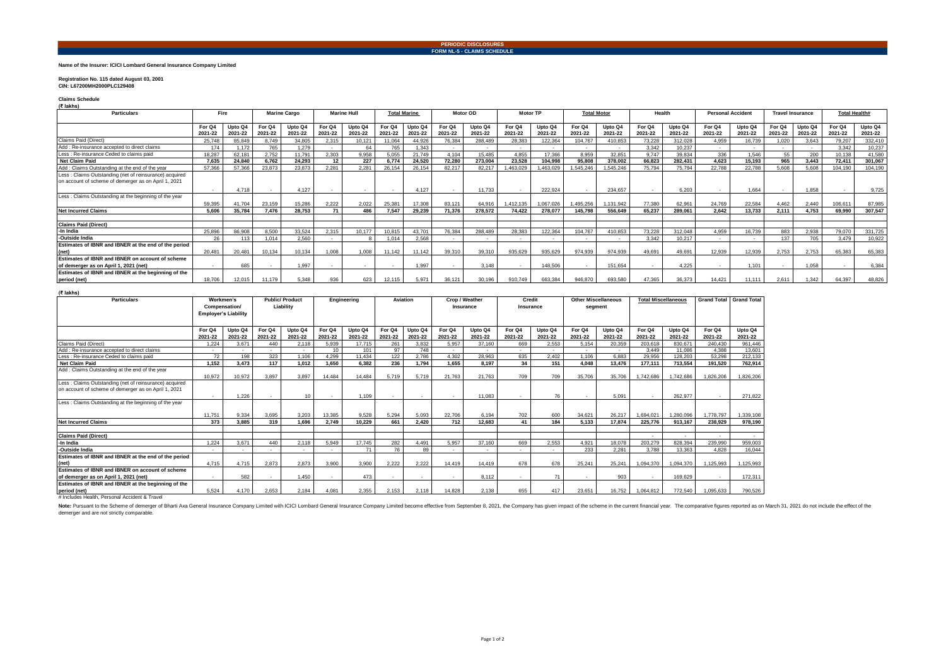### **PERIODIC DISCLOSURES FORM NL-5 - CLAIMS SCHEDULE**

### **Name of the Insurer: ICICI Lombard General Insurance Company Limited**

### **Registration No. 115 dated August 03, 2001 CIN: L67200MH2000PLC129408**

**Claims Schedule (₹ lakhs)**

| <b>Particulars</b>                                     | Fire                     |                    | <b>Marine Cargo</b>      |                    | <b>Marine Hull</b>       |                    | <b>Total Marine</b>      |                    | Motor OD          |                    | <b>Motor TP</b>          |                    | <b>Total Motor</b> |                    | Health            |                    | <b>Personal Accident</b> |                    | <b>Travel Insurance</b> |                    | <b>Total Health#</b> |                    |
|--------------------------------------------------------|--------------------------|--------------------|--------------------------|--------------------|--------------------------|--------------------|--------------------------|--------------------|-------------------|--------------------|--------------------------|--------------------|--------------------|--------------------|-------------------|--------------------|--------------------------|--------------------|-------------------------|--------------------|----------------------|--------------------|
|                                                        | For Q4<br>2021-22        | Upto Q4<br>2021-22 | For Q4<br>2021-22        | Upto Q4<br>2021-22 | For Q4<br>2021-22        | Upto Q4<br>2021-22 | For Q4<br>2021-22        | Upto Q4<br>2021-22 | For Q4<br>2021-22 | Upto Q4<br>2021-22 | For Q4<br>2021-22        | Upto Q4<br>2021-22 | For Q4<br>2021-22  | Upto Q4<br>2021-22 | For Q4<br>2021-22 | Upto Q4<br>2021-22 | For Q4<br>2021-22        | Upto Q4<br>2021-22 | For Q4<br>2021-22       | Upto Q4<br>2021-22 | For Q4<br>2021-22    | Upto Q4<br>2021-22 |
| Claims Paid (Direct)                                   | 25.748                   | 85.849             | 8.749                    | 34,805             | 2.315                    | 10.121             | 11,064                   | 44.926             | 76,384            | 288,489            | 28,383                   | 122.36             | 104.767            | 410,853            | 73.228            | 312.028            | 4.959                    | 16,739             | 1.020                   | 3.643              | 79.207               | 332,410            |
| Add: Re-insurance accepted to direct claims            | 174                      | 1.172              | 765                      | 1.279              |                          | 64                 | 765                      | .343               |                   |                    | $\overline{\phantom{a}}$ |                    |                    |                    | 3.342             | 10.237             | $\sim$                   |                    |                         | $\sim$             | 3.342                | 10,237             |
| Less : Re-insurance Ceded to claims paid               | 18.287                   | 62.181             | 2.752                    | 11.791             | 2.303                    | 9,958              | 5,055                    | 21.749             | 4.104             | 15.485             | 4.855                    | 17,366             | 8.959              | 32.851             | 9.747             | 39.834             | 336                      | 1.546              | 55                      | 200                | 10.138               | 41.580             |
| <b>Net Claim Paid</b>                                  | 7.635                    | 24.840             | 6.762                    | 24.293             | 12                       | 227                | 6.774                    | 24.520             | 72.280            | 273.004            | 23.528                   | 104.998            | 95,808             | 378.002            | 66.823            | 282,431            | 4,623                    | 15.193             | 965                     | 3.443              | 72.411               | 301,067            |
| Add: Claims Outstanding at the end of the year         | 57,366                   | 57.366             | 23,873                   | 23.873             | 2.281                    | 2.281              | 26.154                   | 26.154             | 82.217            | 82.217             | ,463,029                 | 1.463.029          | 1.545.246          | 1.545.246          | 75.794            | 75.794             | 22,788                   | 22.788             | 5.608                   | 5.608              | 104.190              | 104,190            |
| Less: Claims Outstanding (net of reinsurance) acquired |                          |                    |                          |                    |                          |                    |                          |                    |                   |                    |                          |                    |                    |                    |                   |                    |                          |                    |                         |                    |                      |                    |
| on account of scheme of demerger as on April 1, 2021   |                          |                    |                          |                    |                          |                    |                          |                    |                   |                    |                          |                    |                    |                    |                   |                    |                          |                    |                         |                    |                      |                    |
|                                                        | $\sim$                   | 4.718              |                          | 4.127              |                          |                    | $\overline{\phantom{a}}$ | 4.127              |                   | 11.733             |                          | 222.924            |                    | 234.657            |                   | 6.203              |                          | 1.664              |                         | 1.858              |                      | 9,725              |
| Less: Claims Outstanding at the beginning of the year  |                          |                    |                          |                    |                          |                    |                          |                    |                   |                    |                          |                    |                    |                    |                   |                    |                          |                    |                         |                    |                      |                    |
|                                                        | 59,395                   | 41.704             | 23.159                   | 15,286             | 2.222                    | 2.022              | 25,381                   | 17,308             | 83.121            | 64,916             | ,412,135                 | 1,067,026          | ,495,256           | 1,131,942          | 77,380            | 62.961             | 24.769                   | 22.584             | 4.462                   | 2.440              | 106.611              | 87,985             |
| <b>Net Incurred Claims</b>                             | 5,606                    | 35,784             | 7,476                    | 28,753             | 71                       | 486                | 7,547                    | 29,239             | 71,376            | 278,572            | 74,422                   | 278,077            | 145,798            | 556,649            | 65,237            | 289,061            | 2,642                    | 13,733             | 2.111                   | 4,753              | 69,990               | 307,547            |
|                                                        |                          |                    |                          |                    |                          |                    |                          |                    |                   |                    |                          |                    |                    |                    |                   |                    |                          |                    |                         |                    |                      |                    |
| <b>Claims Paid (Direct)</b>                            |                          |                    |                          |                    |                          |                    |                          |                    |                   |                    |                          |                    |                    |                    |                   |                    |                          |                    |                         |                    |                      |                    |
| -In India                                              | 25,896                   | 86,908             | 8.500                    | 33,524             | 2.315                    | 10.177             | 10.815                   | 43.701             | 76.384            | 288,489            | 28.383                   | 122.364            | 104.767            | 410.853            | 73.228            | 312,048            | 4.959                    | 16.739             | 883                     | 2,938              | 79.070               | 331,725            |
| -Outside India                                         | 26                       |                    | 1.014                    | 2,560              |                          |                    | 1,014                    | 2.568              |                   |                    |                          |                    |                    |                    | 3,342             | 10.217             |                          |                    | 137                     | 705                | 3.479                | 10,922             |
| Estimates of IBNR and IBNER at the end of the period   |                          |                    |                          |                    |                          |                    |                          |                    |                   |                    |                          |                    |                    |                    |                   |                    |                          |                    |                         |                    |                      |                    |
| (net)                                                  | 20.481                   | 20.481             | 10.134                   | 10.134             | 1.008                    | 1.008              | 11.142                   | 11.142             | 39.310            | 39,310             | 935.629                  | 935.629            | 974.939            | 974.939            | 49.691            | 49.691             | 12.939                   | 12.939             | 2.753                   | 2.753              | 65.383               | 65.383             |
| Estimates of IBNR and IBNER on account of scheme       |                          |                    |                          |                    |                          |                    |                          |                    |                   |                    |                          |                    |                    |                    |                   |                    |                          |                    |                         |                    |                      |                    |
| of demerger as on April 1, 2021 (net)                  | $\overline{\phantom{a}}$ | 685                | $\overline{\phantom{a}}$ | 1.997              | $\overline{\phantom{a}}$ | $\sim$             | $\overline{\phantom{a}}$ | 1.997              |                   | 3.148              |                          | 148,506            |                    | 151.654            |                   | 4.225              |                          | 1.101              |                         | 1.058              |                      | 6.384              |
| Estimates of IBNR and IBNER at the beginning of the    |                          |                    |                          |                    |                          |                    |                          |                    |                   |                    |                          |                    |                    |                    |                   |                    |                          |                    |                         |                    |                      |                    |
| period (net)                                           | 18,706                   | 12.015             | 11.179                   | 5.348              | 936                      | 623                | 12.115                   | 5.971              | 36.121            | 30.196             | 910.749                  | 663,384            | 946,870            | 693,580            | 47.365            | 36.373             | 14.421                   | 11.111             | 2.611                   | 1.342              | 64.397               | 48,826             |

#### **(₹ lakhs)**

| .<br><b>Particulars</b>                                                                                         | Workmen's<br>Compensation/<br><b>Employer's Liability</b> |                    | <b>Public/ Product</b><br>Liability |                    | Engineering       |                    | Aviation          |                    | Crop / Weather<br>Insurance |                    | Credit<br>Insurance |                    | <b>Other Miscellaneous</b><br>segment |                    | <b>Total Miscellaneous</b> |                    | <b>Grand Total</b> | <b>Grand Total</b> |
|-----------------------------------------------------------------------------------------------------------------|-----------------------------------------------------------|--------------------|-------------------------------------|--------------------|-------------------|--------------------|-------------------|--------------------|-----------------------------|--------------------|---------------------|--------------------|---------------------------------------|--------------------|----------------------------|--------------------|--------------------|--------------------|
|                                                                                                                 | For Q4<br>2021-22                                         | Upto Q4<br>2021-22 | For Q4<br>2021-22                   | Upto Q4<br>2021-22 | For Q4<br>2021-22 | Upto Q4<br>2021-22 | For Q4<br>2021-22 | Upto Q4<br>2021-22 | For Q4<br>2021-22           | Upto Q4<br>2021-22 | For Q4<br>2021-22   | Upto Q4<br>2021-22 | For Q4<br>2021-22                     | Upto Q4<br>2021-22 | For Q4<br>2021-22          | Upto Q4<br>2021-22 | For Q4<br>2021-22  | Upto Q4<br>2021-22 |
| Claims Paid (Direct)                                                                                            | 1.224                                                     | 3.671              | 440                                 | 2.118              | 5.939             | 17.715             | 261               | 3.832              | 5.957                       | 37,160             | 669                 | 2.553              | 5.154                                 | 20.359             | 203.618                    | 830.671            | 240.430            | 961.446            |
| Add: Re-insurance accepted to direct claims                                                                     |                                                           |                    |                                     |                    | 10                | 101                | 97                | 748                |                             |                    |                     |                    |                                       |                    | 3.449                      | 11.086             | 4.388              | 13.601             |
| Less : Re-insurance Ceded to claims paid                                                                        | 72                                                        | 198                | 323                                 | 1.106              | 4.299             | 11.434             | 122               | 2.786              | 4.302                       | 28.963             | 635                 | 2.402              | 1.106                                 | 6.883              | 29.956                     | 128.203            | 53,298             | 212,133            |
| <b>Net Claim Paid</b>                                                                                           | 1.152                                                     | 3.473              | 117                                 | 1.012              | 1.650             | 6.382              | 236               | 1.794              | 1.655                       | 8.197              | 34                  | 151                | 4.048                                 | 13.476             | 177.111                    | 713.554            | 191.520            | 762.914            |
| Add: Claims Outstanding at the end of the year                                                                  | 10,972                                                    | 10,972             | 3,897                               | 3.897              | 14,484            | 14.484             | 5.719             | 5.719              | 21.763                      | 21,763             | 709                 | 709                | 35,706                                | 35,706             | 1.742.686                  | 1.742.686          | 1,826,206          | 1,826,206          |
| Less : Claims Outstanding (net of reinsurance) acquired<br>on account of scheme of demerger as on April 1, 2021 | $\sim$                                                    | 1.226              | $\overline{\phantom{a}}$            | 10                 | $\sim$            | 1.109              | $\sim$            | $\sim$             |                             | 11.083             |                     | 76                 | $\overline{\phantom{a}}$              | 5.091              |                            | 262.977            | $\sim$             | 271.822            |
| Less: Claims Outstanding at the beginning of the year                                                           | 11.751                                                    | 9.334              | 3.695                               | 3.203              | 13.385            | 9.528              | 5.294             | 5.093              | 22,706                      | 6.194              | 702                 | 600                | 34.621                                | 26.217             | 1.694.021                  | 1.280.096          | 1.778.797          | 1.339.108          |
| <b>Net Incurred Claims</b>                                                                                      | 373                                                       | 3.885              | 319                                 | 1.696              | 2.749             | 10.229             | 661               | 2.420              | 712                         | 12.683             | 41                  | 184                | 5.133                                 | 17.874             | 225.776                    | 913.167            | 238.929            | 978.190            |
|                                                                                                                 |                                                           |                    |                                     |                    |                   |                    |                   |                    |                             |                    |                     |                    |                                       |                    |                            |                    |                    |                    |
| <b>Claims Paid (Direct)</b>                                                                                     |                                                           |                    |                                     |                    |                   |                    |                   |                    |                             |                    |                     |                    |                                       |                    | $\sim$                     | $\sim$             | $\sim$             | $\sim$             |
| -In India                                                                                                       | 1.224                                                     | 3.671              | 440                                 | 2.118              | 5.949             | 17.745             | 282               | 4.491              | 5.957                       | 37.160             | 669                 | 2.553              | 4.921                                 | 18.078             | 203.279                    | 828.394            | 239,990            | 959.003            |
| -Outside India                                                                                                  | $\sim$                                                    |                    | $\sim$                              | $\sim$             | $\sim$            | 71                 | 76                | 89                 | $\sim$                      | $\sim$             | $\sim$              | $\sim$             | 233                                   | 2.281              | 3.788                      | 13.363             | 4.828              | 16.044             |
| Estimates of IBNR and IBNER at the end of the period                                                            |                                                           |                    |                                     |                    |                   |                    |                   |                    |                             |                    |                     |                    |                                       |                    |                            |                    |                    |                    |
| (net)                                                                                                           | 4.715                                                     | 4.715              | 2.873                               | 2.873              | 3.900             | 3.900              | 2.222             | 2.222              | 14.419                      | 14.419             | 678                 | 678                | 25.241                                | 25.241             | 1.094.370                  | 1.094.370          | 1.125.993          | 1.125.993          |
| Estimates of IBNR and IBNER on account of scheme<br>of demerger as on April 1, 2021 (net)                       | $\sim$                                                    | 582                | $\sim$                              | 1.450              | $\sim$            | 473                |                   | $\sim$             | $\sim$                      | 8.112              | $\sim$              | 71                 | $\sim$                                | 903                | $\sim$                     | 169.629            | $\sim$             | 172,311            |
| Estimates of IBNR and IBNER at the beginning of the                                                             |                                                           |                    |                                     |                    |                   |                    |                   |                    |                             |                    |                     |                    |                                       |                    |                            |                    |                    |                    |
| period (net)                                                                                                    | 5.524                                                     | 4.170              | 2.653                               | 2.184              | 4.081             | 2.355              | 2.153             | 2.118              | 14.828                      | 2.138              | 655                 | 417                | 23.651                                | 16.752             | 1.064.812                  | 772.540            | 1.095.633          | 790.526            |
| # Includes Health, Personal Accident & Travel                                                                   |                                                           |                    |                                     |                    |                   |                    |                   |                    |                             |                    |                     |                    |                                       |                    |                            |                    |                    |                    |

Note: Pursuant to the Scheme of demerger of Bharti Axa General Insurance Company Limited with ICICI Lombard General Insurance Company Limited with ICICI Lombard General Insurance Company Limited become effective from Septe demerger and are not strictly comparable.